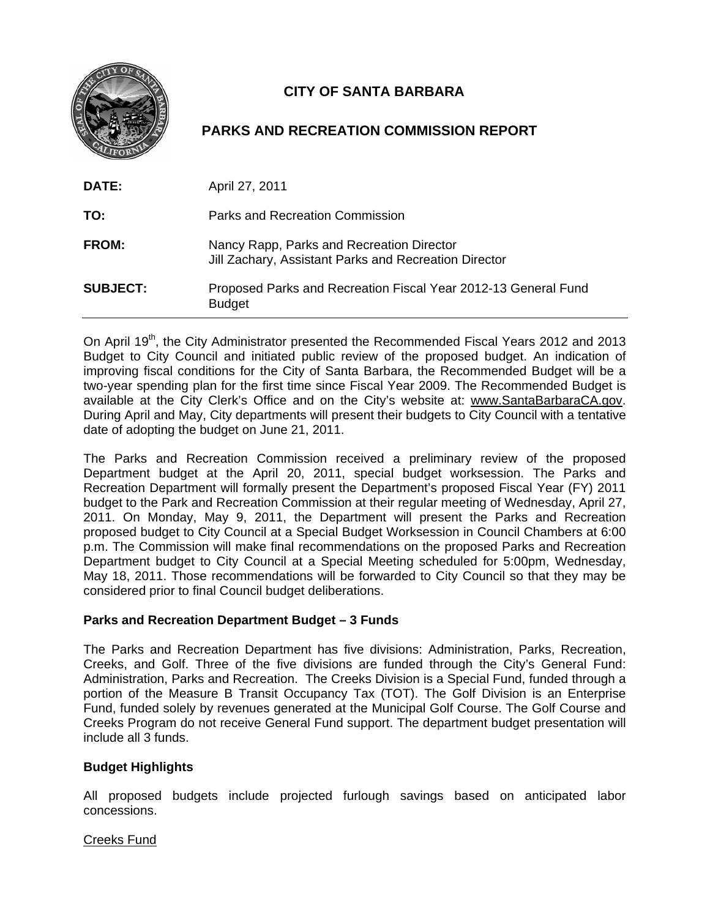

# **CITY OF SANTA BARBARA**

## **PARKS AND RECREATION COMMISSION REPORT**

| DATE:           | April 27, 2011                                                                                     |
|-----------------|----------------------------------------------------------------------------------------------------|
| TO:             | Parks and Recreation Commission                                                                    |
| <b>FROM:</b>    | Nancy Rapp, Parks and Recreation Director<br>Jill Zachary, Assistant Parks and Recreation Director |
| <b>SUBJECT:</b> | Proposed Parks and Recreation Fiscal Year 2012-13 General Fund<br><b>Budget</b>                    |

On April 19<sup>th</sup>, the City Administrator presented the Recommended Fiscal Years 2012 and 2013 Budget to City Council and initiated public review of the proposed budget. An indication of improving fiscal conditions for the City of Santa Barbara, the Recommended Budget will be a two-year spending plan for the first time since Fiscal Year 2009. The Recommended Budget is available at the City Clerk's Office and on the City's website at: www.SantaBarbaraCA.gov. During April and May, City departments will present their budgets to City Council with a tentative date of adopting the budget on June 21, 2011.

The Parks and Recreation Commission received a preliminary review of the proposed Department budget at the April 20, 2011, special budget worksession. The Parks and Recreation Department will formally present the Department's proposed Fiscal Year (FY) 2011 budget to the Park and Recreation Commission at their regular meeting of Wednesday, April 27, 2011. On Monday, May 9, 2011, the Department will present the Parks and Recreation proposed budget to City Council at a Special Budget Worksession in Council Chambers at 6:00 p.m. The Commission will make final recommendations on the proposed Parks and Recreation Department budget to City Council at a Special Meeting scheduled for 5:00pm, Wednesday, May 18, 2011. Those recommendations will be forwarded to City Council so that they may be considered prior to final Council budget deliberations.

## **Parks and Recreation Department Budget – 3 Funds**

The Parks and Recreation Department has five divisions: Administration, Parks, Recreation, Creeks, and Golf. Three of the five divisions are funded through the City's General Fund: Administration, Parks and Recreation. The Creeks Division is a Special Fund, funded through a portion of the Measure B Transit Occupancy Tax (TOT). The Golf Division is an Enterprise Fund, funded solely by revenues generated at the Municipal Golf Course. The Golf Course and Creeks Program do not receive General Fund support. The department budget presentation will include all 3 funds.

## **Budget Highlights**

All proposed budgets include projected furlough savings based on anticipated labor concessions.

### Creeks Fund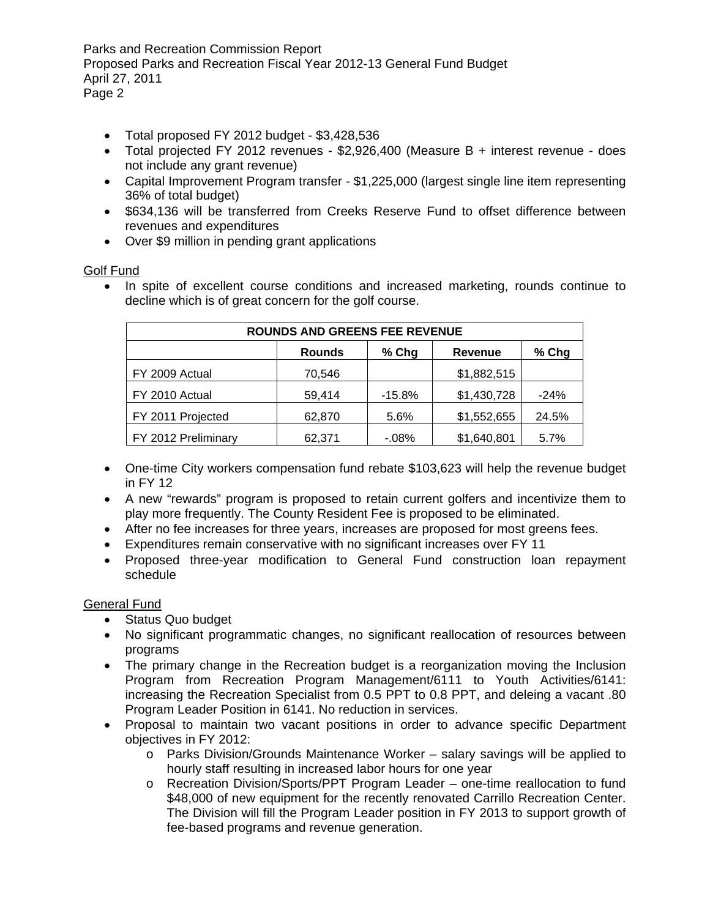Parks and Recreation Commission Report Proposed Parks and Recreation Fiscal Year 2012-13 General Fund Budget April 27, 2011 Page 2

- Total proposed FY 2012 budget \$3,428,536
- Total projected FY 2012 revenues \$2,926,400 (Measure B + interest revenue does not include any grant revenue)
- Capital Improvement Program transfer \$1,225,000 (largest single line item representing 36% of total budget)
- \$634,136 will be transferred from Creeks Reserve Fund to offset difference between revenues and expenditures
- Over \$9 million in pending grant applications

### Golf Fund

• In spite of excellent course conditions and increased marketing, rounds continue to decline which is of great concern for the golf course.

| <b>ROUNDS AND GREENS FEE REVENUE</b> |               |          |                |         |  |
|--------------------------------------|---------------|----------|----------------|---------|--|
|                                      | <b>Rounds</b> | % Chg    | <b>Revenue</b> | $%$ Chg |  |
| FY 2009 Actual                       | 70,546        |          | \$1,882,515    |         |  |
| FY 2010 Actual                       | 59,414        | $-15.8%$ | \$1,430,728    | $-24%$  |  |
| FY 2011 Projected                    | 62,870        | 5.6%     | \$1,552,655    | 24.5%   |  |
| FY 2012 Preliminary                  | 62,371        | $-08%$   | \$1,640,801    | 5.7%    |  |

- One-time City workers compensation fund rebate \$103,623 will help the revenue budget in FY 12
- A new "rewards" program is proposed to retain current golfers and incentivize them to play more frequently. The County Resident Fee is proposed to be eliminated.
- After no fee increases for three years, increases are proposed for most greens fees.
- Expenditures remain conservative with no significant increases over FY 11
- Proposed three-year modification to General Fund construction loan repayment schedule

### General Fund

- Status Quo budget
- No significant programmatic changes, no significant reallocation of resources between programs
- The primary change in the Recreation budget is a reorganization moving the Inclusion Program from Recreation Program Management/6111 to Youth Activities/6141: increasing the Recreation Specialist from 0.5 PPT to 0.8 PPT, and deleing a vacant .80 Program Leader Position in 6141. No reduction in services.
- Proposal to maintain two vacant positions in order to advance specific Department objectives in FY 2012:
	- o Parks Division/Grounds Maintenance Worker salary savings will be applied to hourly staff resulting in increased labor hours for one year
	- o Recreation Division/Sports/PPT Program Leader one-time reallocation to fund \$48,000 of new equipment for the recently renovated Carrillo Recreation Center. The Division will fill the Program Leader position in FY 2013 to support growth of fee-based programs and revenue generation.